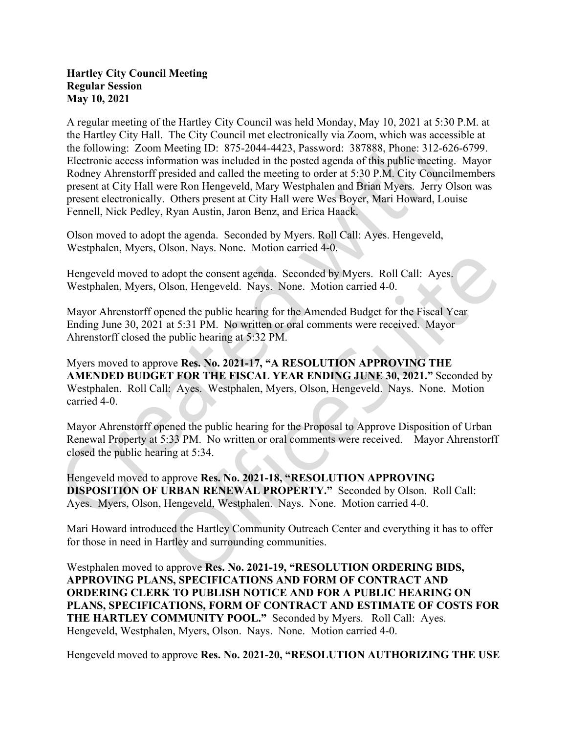## Hartley City Council Meeting Regular Session May 10, 2021

A regular meeting of the Hartley City Council was held Monday, May 10, 2021 at 5:30 P.M. at the Hartley City Hall. The City Council met electronically via Zoom, which was accessible at the following: Zoom Meeting ID: 875-2044-4423, Password: 387888, Phone: 312-626-6799. Electronic access information was included in the posted agenda of this public meeting. Mayor Rodney Ahrenstorff presided and called the meeting to order at 5:30 P.M. City Councilmembers present at City Hall were Ron Hengeveld, Mary Westphalen and Brian Myers. Jerry Olson was present electronically. Others present at City Hall were Wes Boyer, Mari Howard, Louise Fennell, Nick Pedley, Ryan Austin, Jaron Benz, and Erica Haack.

Olson moved to adopt the agenda. Seconded by Myers. Roll Call: Ayes. Hengeveld, Westphalen, Myers, Olson. Nays. None. Motion carried 4-0.

Hengeveld moved to adopt the consent agenda. Seconded by Myers. Roll Call: Ayes. Westphalen, Myers, Olson, Hengeveld. Nays. None. Motion carried 4-0.

Mayor Ahrenstorff opened the public hearing for the Amended Budget for the Fiscal Year Ending June 30, 2021 at 5:31 PM. No written or oral comments were received. Mayor Ahrenstorff closed the public hearing at 5:32 PM.

Myers moved to approve Res. No. 2021-17, "A RESOLUTION APPROVING THE AMENDED BUDGET FOR THE FISCAL YEAR ENDING JUNE 30, 2021." Seconded by Westphalen. Roll Call: Ayes. Westphalen, Myers, Olson, Hengeveld. Nays. None. Motion carried 4-0.

Mayor Ahrenstorff opened the public hearing for the Proposal to Approve Disposition of Urban Renewal Property at 5:33 PM. No written or oral comments were received. Mayor Ahrenstorff closed the public hearing at 5:34.

Hengeveld moved to approve Res. No. 2021-18, "RESOLUTION APPROVING DISPOSITION OF URBAN RENEWAL PROPERTY." Seconded by Olson. Roll Call: Ayes. Myers, Olson, Hengeveld, Westphalen. Nays. None. Motion carried 4-0.

Mari Howard introduced the Hartley Community Outreach Center and everything it has to offer for those in need in Hartley and surrounding communities.

Westphalen moved to approve Res. No. 2021-19, "RESOLUTION ORDERING BIDS, APPROVING PLANS, SPECIFICATIONS AND FORM OF CONTRACT AND ORDERING CLERK TO PUBLISH NOTICE AND FOR A PUBLIC HEARING ON PLANS, SPECIFICATIONS, FORM OF CONTRACT AND ESTIMATE OF COSTS FOR THE HARTLEY COMMUNITY POOL." Seconded by Myers. Roll Call: Ayes. Hengeveld, Westphalen, Myers, Olson. Nays. None. Motion carried 4-0.

Hengeveld moved to approve Res. No. 2021-20, "RESOLUTION AUTHORIZING THE USE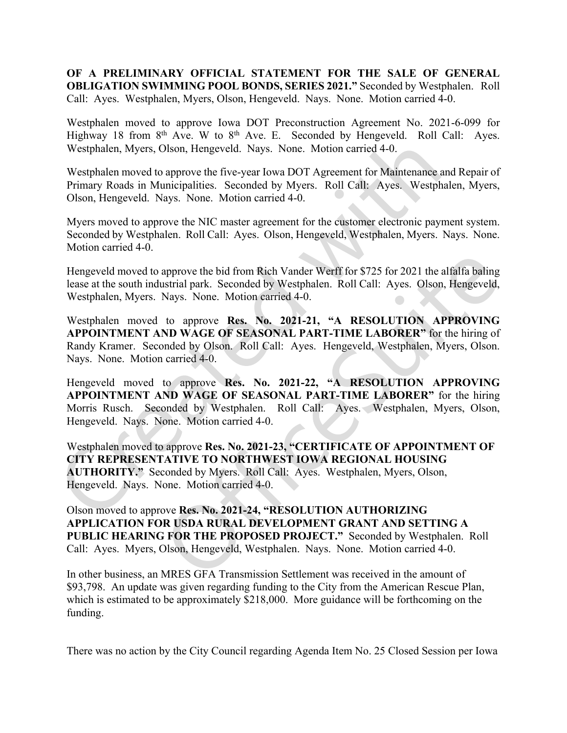OF A PRELIMINARY OFFICIAL STATEMENT FOR THE SALE OF GENERAL OBLIGATION SWIMMING POOL BONDS, SERIES 2021." Seconded by Westphalen. Roll Call: Ayes. Westphalen, Myers, Olson, Hengeveld. Nays. None. Motion carried 4-0.

Westphalen moved to approve Iowa DOT Preconstruction Agreement No. 2021-6-099 for Highway 18 from 8<sup>th</sup> Ave. W to 8<sup>th</sup> Ave. E. Seconded by Hengeveld. Roll Call: Ayes. Westphalen, Myers, Olson, Hengeveld. Nays. None. Motion carried 4-0.

Westphalen moved to approve the five-year Iowa DOT Agreement for Maintenance and Repair of Primary Roads in Municipalities. Seconded by Myers. Roll Call: Ayes. Westphalen, Myers, Olson, Hengeveld. Nays. None. Motion carried 4-0.

Myers moved to approve the NIC master agreement for the customer electronic payment system. Seconded by Westphalen. Roll Call: Ayes. Olson, Hengeveld, Westphalen, Myers. Nays. None. Motion carried 4-0.

Hengeveld moved to approve the bid from Rich Vander Werff for \$725 for 2021 the alfalfa baling lease at the south industrial park. Seconded by Westphalen. Roll Call: Ayes. Olson, Hengeveld, Westphalen, Myers. Nays. None. Motion carried 4-0.

Westphalen moved to approve Res. No. 2021-21, "A RESOLUTION APPROVING APPOINTMENT AND WAGE OF SEASONAL PART-TIME LABORER" for the hiring of Randy Kramer. Seconded by Olson. Roll Call: Ayes. Hengeveld, Westphalen, Myers, Olson. Nays. None. Motion carried 4-0.

Hengeveld moved to approve Res. No. 2021-22, "A RESOLUTION APPROVING APPOINTMENT AND WAGE OF SEASONAL PART-TIME LABORER" for the hiring Morris Rusch. Seconded by Westphalen. Roll Call: Ayes. Westphalen, Myers, Olson, Hengeveld. Nays. None. Motion carried 4-0.

Westphalen moved to approve Res. No. 2021-23, "CERTIFICATE OF APPOINTMENT OF CITY REPRESENTATIVE TO NORTHWEST IOWA REGIONAL HOUSING AUTHORITY." Seconded by Myers. Roll Call: Ayes. Westphalen, Myers, Olson, Hengeveld. Nays. None. Motion carried 4-0.

Olson moved to approve Res. No. 2021-24, "RESOLUTION AUTHORIZING APPLICATION FOR USDA RURAL DEVELOPMENT GRANT AND SETTING A PUBLIC HEARING FOR THE PROPOSED PROJECT." Seconded by Westphalen. Roll Call: Ayes. Myers, Olson, Hengeveld, Westphalen. Nays. None. Motion carried 4-0.

In other business, an MRES GFA Transmission Settlement was received in the amount of \$93,798. An update was given regarding funding to the City from the American Rescue Plan, which is estimated to be approximately \$218,000. More guidance will be forthcoming on the funding.

There was no action by the City Council regarding Agenda Item No. 25 Closed Session per Iowa